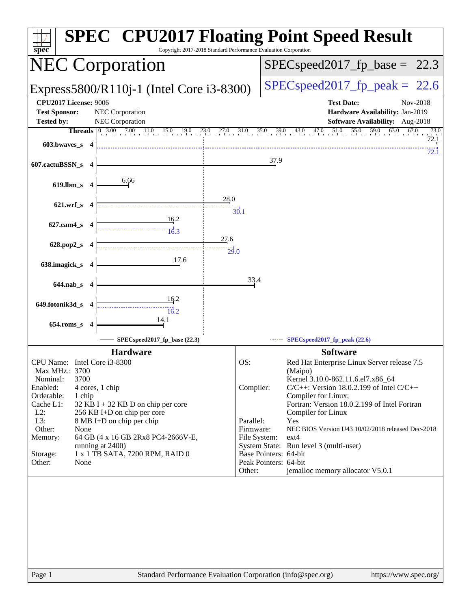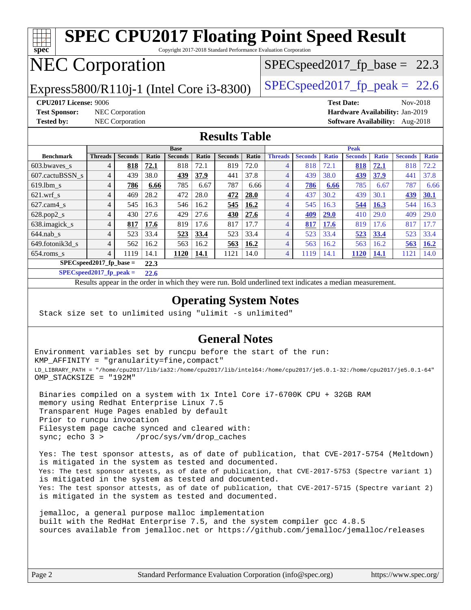#### **[spec](http://www.spec.org/) [SPEC CPU2017 Floating Point Speed Result](http://www.spec.org/auto/cpu2017/Docs/result-fields.html#SPECCPU2017FloatingPointSpeedResult)** Copyright 2017-2018 Standard Performance Evaluation Corporation NEC Corporation  $SPECspeed2017_fp\_base = 22.3$

Express5800/R110j-1 (Intel Core i3-8300) [SPECspeed2017\\_fp\\_peak =](http://www.spec.org/auto/cpu2017/Docs/result-fields.html#SPECspeed2017fppeak) 22.6

**[Test Sponsor:](http://www.spec.org/auto/cpu2017/Docs/result-fields.html#TestSponsor)** NEC Corporation **[Hardware Availability:](http://www.spec.org/auto/cpu2017/Docs/result-fields.html#HardwareAvailability)** Jan-2019

**[CPU2017 License:](http://www.spec.org/auto/cpu2017/Docs/result-fields.html#CPU2017License)** 9006 **[Test Date:](http://www.spec.org/auto/cpu2017/Docs/result-fields.html#TestDate)** Nov-2018 **[Tested by:](http://www.spec.org/auto/cpu2017/Docs/result-fields.html#Testedby)** NEC Corporation **[Software Availability:](http://www.spec.org/auto/cpu2017/Docs/result-fields.html#SoftwareAvailability)** Aug-2018

#### **[Results Table](http://www.spec.org/auto/cpu2017/Docs/result-fields.html#ResultsTable)**

|                           | <b>Base</b>    |                |       |                |       |                | <b>Peak</b> |                |                |              |                |              |                |              |
|---------------------------|----------------|----------------|-------|----------------|-------|----------------|-------------|----------------|----------------|--------------|----------------|--------------|----------------|--------------|
| <b>Benchmark</b>          | <b>Threads</b> | <b>Seconds</b> | Ratio | <b>Seconds</b> | Ratio | <b>Seconds</b> | Ratio       | <b>Threads</b> | <b>Seconds</b> | <b>Ratio</b> | <b>Seconds</b> | <b>Ratio</b> | <b>Seconds</b> | <b>Ratio</b> |
| 603.bwayes s              | 4              | 818            | 72.1  | 818            | 72.1  | 819            | 72.0        | 4              | 818            | 72.1         | 818            | <b>72.1</b>  | 818            | 72.2         |
| 607.cactuBSSN s           | 4              | 439            | 38.0  | <u>439</u>     | 37.9  | 441            | 37.8        | 4              | 439            | 38.0         | 439            | 37.9         | $44^\circ$     | 37.8         |
| $619.1$ bm s              | 4              | 786            | 6.66  | 785            | 6.67  | 787            | 6.66        | 4              | 786            | 6.66         | 785            | 6.67         | 787            | 6.66         |
| $621$ .wrf s              | 4              | 469            | 28.2  | 472            | 28.0  | 472            | 28.0        | 4              | 437            | 30.2         | 439            | 30.1         | 439            | <b>30.1</b>  |
| $627$ .cam4 s             | 4              | 545            | 16.3  | 546            | 16.2  | 545            | 16.2        | 4              | 545            | 16.3         | 544            | 16.3         | 544            | 16.3         |
| $628.pop2_s$              | $\overline{4}$ | 430            | 27.6  | 429            | 27.6  | 430            | 27.6        | 4              | 409            | <b>29.0</b>  | 410            | 29.0         | 409            | 29.0         |
| 638.imagick_s             | 4              | 817            | 17.6  | 819            | 17.6  | 817            | 17.7        | 4              | 817            | 17.6         | 819            | 7.6          | 817            | 7.7          |
| $644$ .nab s              | $\overline{4}$ | 523            | 33.4  | 523            | 33.4  | 523            | 33.4        | 4              | 523            | 33.4         | 523            | 33.4         | 523            | 33.4         |
| 649.fotonik3d s           | $\overline{4}$ | 562            | 16.2  | 563            | 16.2  | 563            | 16.2        | 4              | 563            | 16.2         | 563            | 16.2         | 563            | 16.2         |
| $654$ .roms s             | $\overline{4}$ | 1119           | 14.1  | 1120           | 14.1  | 1121           | 14.0        | 4              | 1119           | 14.1         | 1120           | <u>14.1</u>  | 1121           | 14.0         |
| $SPECspeed2017$ fp base = |                |                | 22.3  |                |       |                |             |                |                |              |                |              |                |              |

**[SPECspeed2017\\_fp\\_peak =](http://www.spec.org/auto/cpu2017/Docs/result-fields.html#SPECspeed2017fppeak) 22.6**

Results appear in the [order in which they were run.](http://www.spec.org/auto/cpu2017/Docs/result-fields.html#RunOrder) Bold underlined text [indicates a median measurement](http://www.spec.org/auto/cpu2017/Docs/result-fields.html#Median).

#### **[Operating System Notes](http://www.spec.org/auto/cpu2017/Docs/result-fields.html#OperatingSystemNotes)**

Stack size set to unlimited using "ulimit -s unlimited"

#### **[General Notes](http://www.spec.org/auto/cpu2017/Docs/result-fields.html#GeneralNotes)**

Environment variables set by runcpu before the start of the run: KMP\_AFFINITY = "granularity=fine,compact" LD\_LIBRARY\_PATH = "/home/cpu2017/lib/ia32:/home/cpu2017/lib/intel64:/home/cpu2017/je5.0.1-32:/home/cpu2017/je5.0.1-64" OMP\_STACKSIZE = "192M"

 Binaries compiled on a system with 1x Intel Core i7-6700K CPU + 32GB RAM memory using Redhat Enterprise Linux 7.5 Transparent Huge Pages enabled by default Prior to runcpu invocation Filesystem page cache synced and cleared with: sync; echo 3 > /proc/sys/vm/drop\_caches

 Yes: The test sponsor attests, as of date of publication, that CVE-2017-5754 (Meltdown) is mitigated in the system as tested and documented. Yes: The test sponsor attests, as of date of publication, that CVE-2017-5753 (Spectre variant 1) is mitigated in the system as tested and documented. Yes: The test sponsor attests, as of date of publication, that CVE-2017-5715 (Spectre variant 2) is mitigated in the system as tested and documented.

 jemalloc, a general purpose malloc implementation built with the RedHat Enterprise 7.5, and the system compiler gcc 4.8.5 sources available from jemalloc.net or <https://github.com/jemalloc/jemalloc/releases>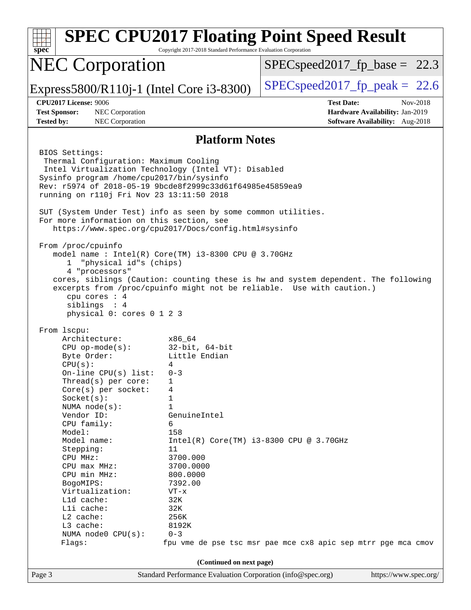| spec                                                                                                                                                                                                                                                                                                                                                                                                                                            | Copyright 2017-2018 Standard Performance Evaluation Corporation                                                                                                                                                                                                               | <b>SPEC CPU2017 Floating Point Speed Result</b>                                                                                                             |  |  |  |  |  |
|-------------------------------------------------------------------------------------------------------------------------------------------------------------------------------------------------------------------------------------------------------------------------------------------------------------------------------------------------------------------------------------------------------------------------------------------------|-------------------------------------------------------------------------------------------------------------------------------------------------------------------------------------------------------------------------------------------------------------------------------|-------------------------------------------------------------------------------------------------------------------------------------------------------------|--|--|--|--|--|
| <b>NEC Corporation</b>                                                                                                                                                                                                                                                                                                                                                                                                                          |                                                                                                                                                                                                                                                                               | $SPEC speed2017_f p\_base = 22.3$                                                                                                                           |  |  |  |  |  |
| Express5800/R110j-1 (Intel Core i3-8300)                                                                                                                                                                                                                                                                                                                                                                                                        |                                                                                                                                                                                                                                                                               | $SPEC speed2017fp peak = 22.6$                                                                                                                              |  |  |  |  |  |
| <b>CPU2017 License: 9006</b>                                                                                                                                                                                                                                                                                                                                                                                                                    |                                                                                                                                                                                                                                                                               | <b>Test Date:</b><br>Nov-2018                                                                                                                               |  |  |  |  |  |
| <b>Test Sponsor:</b><br>NEC Corporation                                                                                                                                                                                                                                                                                                                                                                                                         |                                                                                                                                                                                                                                                                               | Hardware Availability: Jan-2019                                                                                                                             |  |  |  |  |  |
| <b>Tested by:</b><br>NEC Corporation                                                                                                                                                                                                                                                                                                                                                                                                            |                                                                                                                                                                                                                                                                               | Software Availability: Aug-2018                                                                                                                             |  |  |  |  |  |
| <b>Platform Notes</b>                                                                                                                                                                                                                                                                                                                                                                                                                           |                                                                                                                                                                                                                                                                               |                                                                                                                                                             |  |  |  |  |  |
| BIOS Settings:<br>Thermal Configuration: Maximum Cooling<br>Intel Virtualization Technology (Intel VT): Disabled<br>Sysinfo program /home/cpu2017/bin/sysinfo<br>Rev: r5974 of 2018-05-19 9bcde8f2999c33d61f64985e45859ea9<br>running on r110j Fri Nov 23 13:11:50 2018<br>SUT (System Under Test) info as seen by some common utilities.<br>For more information on this section, see<br>https://www.spec.org/cpu2017/Docs/config.html#sysinfo |                                                                                                                                                                                                                                                                               |                                                                                                                                                             |  |  |  |  |  |
| From /proc/cpuinfo<br>model name: Intel(R) Core(TM) i3-8300 CPU @ 3.70GHz<br>1 "physical id"s (chips)<br>4 "processors"<br>cpu cores : 4<br>siblings : 4<br>physical 0: cores 0 1 2 3                                                                                                                                                                                                                                                           |                                                                                                                                                                                                                                                                               | cores, siblings (Caution: counting these is hw and system dependent. The following<br>excerpts from /proc/cpuinfo might not be reliable. Use with caution.) |  |  |  |  |  |
| From 1scpu:<br>Architecture:<br>$CPU$ op-mode( $s$ ):<br>Byte Order:<br>CPU(s):<br>On-line CPU(s) list:<br>Thread(s) per core:<br>Core(s) per socket:<br>Socket(s):<br>NUMA $node(s)$ :<br>Vendor ID:<br>CPU family:<br>Model:<br>Model name:<br>Stepping:<br>CPU MHz:<br>CPU max MHz:<br>CPU min MHz:<br>BogoMIPS:<br>Virtualization:<br>L1d cache:<br>Lli cache:<br>L2 cache:<br>L3 cache:<br>NUMA node0 CPU(s):<br>Flags:                    | x86 64<br>32-bit, 64-bit<br>Little Endian<br>4<br>$0 - 3$<br>1<br>4<br>1<br>$\mathbf{1}$<br>GenuineIntel<br>6<br>158<br>$Intel(R) Core(TM) i3-8300 CPU @ 3.70GHz$<br>11<br>3700.000<br>3700.0000<br>800.0000<br>7392.00<br>$VT - x$<br>32K<br>32K<br>256K<br>8192K<br>$0 - 3$ | fpu vme de pse tsc msr pae mce cx8 apic sep mtrr pge mca cmov                                                                                               |  |  |  |  |  |
| (Continued on next page)                                                                                                                                                                                                                                                                                                                                                                                                                        |                                                                                                                                                                                                                                                                               |                                                                                                                                                             |  |  |  |  |  |
| Page 3                                                                                                                                                                                                                                                                                                                                                                                                                                          | Standard Performance Evaluation Corporation (info@spec.org)                                                                                                                                                                                                                   | https://www.spec.org/                                                                                                                                       |  |  |  |  |  |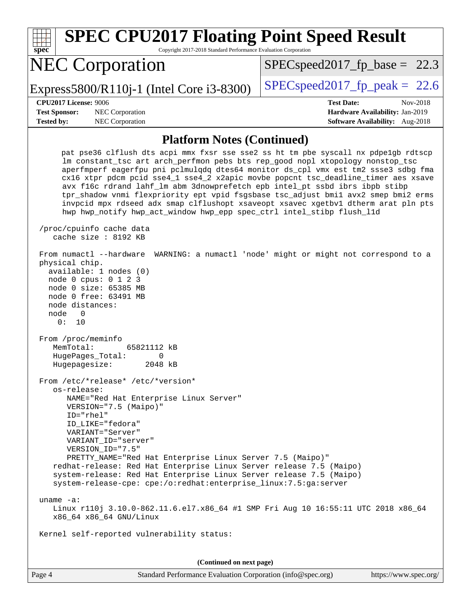| <b>SPEC CPU2017 Floating Point Speed Result</b><br>Copyright 2017-2018 Standard Performance Evaluation Corporation<br>spec <sup>®</sup>                                                                                                                                                                                                                                                                                                                                                                                                                                                                                                                                              |                                                                                                     |
|--------------------------------------------------------------------------------------------------------------------------------------------------------------------------------------------------------------------------------------------------------------------------------------------------------------------------------------------------------------------------------------------------------------------------------------------------------------------------------------------------------------------------------------------------------------------------------------------------------------------------------------------------------------------------------------|-----------------------------------------------------------------------------------------------------|
| <b>NEC Corporation</b>                                                                                                                                                                                                                                                                                                                                                                                                                                                                                                                                                                                                                                                               | $SPEC speed2017_f p\_base = 22.3$                                                                   |
| Express5800/R110j-1 (Intel Core i3-8300)                                                                                                                                                                                                                                                                                                                                                                                                                                                                                                                                                                                                                                             | $SPEC speed2017fr peak = 22.6$                                                                      |
| <b>CPU2017 License: 9006</b><br><b>Test Sponsor:</b><br>NEC Corporation<br><b>Tested by:</b><br>NEC Corporation                                                                                                                                                                                                                                                                                                                                                                                                                                                                                                                                                                      | <b>Test Date:</b><br>Nov-2018<br>Hardware Availability: Jan-2019<br>Software Availability: Aug-2018 |
| <b>Platform Notes (Continued)</b>                                                                                                                                                                                                                                                                                                                                                                                                                                                                                                                                                                                                                                                    |                                                                                                     |
| pat pse36 clflush dts acpi mmx fxsr sse sse2 ss ht tm pbe syscall nx pdpelgb rdtscp<br>lm constant_tsc art arch_perfmon pebs bts rep_good nopl xtopology nonstop_tsc<br>aperfmperf eagerfpu pni pclmulqdq dtes64 monitor ds_cpl vmx est tm2 ssse3 sdbg fma<br>cx16 xtpr pdcm pcid sse4_1 sse4_2 x2apic movbe popcnt tsc_deadline_timer aes xsave<br>avx f16c rdrand lahf_lm abm 3dnowprefetch epb intel_pt ssbd ibrs ibpb stibp<br>tpr_shadow vnmi flexpriority ept vpid fsgsbase tsc_adjust bmil avx2 smep bmi2 erms<br>invpcid mpx rdseed adx smap clflushopt xsaveopt xsavec xgetbvl dtherm arat pln pts<br>hwp hwp_notify hwp_act_window hwp_epp spec_ctrl intel_stibp flush_lld |                                                                                                     |
| /proc/cpuinfo cache data<br>cache size: 8192 KB<br>From numactl --hardware WARNING: a numactl 'node' might or might not correspond to a                                                                                                                                                                                                                                                                                                                                                                                                                                                                                                                                              |                                                                                                     |
| physical chip.<br>available: 1 nodes (0)<br>node 0 cpus: 0 1 2 3<br>node 0 size: 65385 MB<br>node 0 free: 63491 MB<br>node distances:<br>node<br>0<br>0:<br>10<br>From /proc/meminfo<br>MemTotal:<br>65821112 kB                                                                                                                                                                                                                                                                                                                                                                                                                                                                     |                                                                                                     |
| HugePages_Total:<br>0<br>Hugepagesize:<br>2048 kB                                                                                                                                                                                                                                                                                                                                                                                                                                                                                                                                                                                                                                    |                                                                                                     |
| From /etc/*release* /etc/*version*<br>os-release:<br>NAME="Red Hat Enterprise Linux Server"<br>VERSION="7.5 (Maipo)"<br>ID="rhel"<br>ID LIKE="fedora"<br>VARIANT="Server"<br>VARIANT_ID="server"<br>VERSION_ID="7.5"<br>PRETTY_NAME="Red Hat Enterprise Linux Server 7.5 (Maipo)"<br>redhat-release: Red Hat Enterprise Linux Server release 7.5 (Maipo)                                                                                                                                                                                                                                                                                                                             |                                                                                                     |
| system-release: Red Hat Enterprise Linux Server release 7.5 (Maipo)<br>system-release-cpe: cpe:/o:redhat:enterprise_linux:7.5:ga:server<br>uname $-a$ :                                                                                                                                                                                                                                                                                                                                                                                                                                                                                                                              |                                                                                                     |
| Linux r110j 3.10.0-862.11.6.el7.x86_64 #1 SMP Fri Aug 10 16:55:11 UTC 2018 x86_64<br>x86_64 x86_64 GNU/Linux                                                                                                                                                                                                                                                                                                                                                                                                                                                                                                                                                                         |                                                                                                     |
| Kernel self-reported vulnerability status:                                                                                                                                                                                                                                                                                                                                                                                                                                                                                                                                                                                                                                           |                                                                                                     |
| (Continued on next page)                                                                                                                                                                                                                                                                                                                                                                                                                                                                                                                                                                                                                                                             |                                                                                                     |
| Page 4<br>Standard Performance Evaluation Corporation (info@spec.org)                                                                                                                                                                                                                                                                                                                                                                                                                                                                                                                                                                                                                | https://www.spec.org/                                                                               |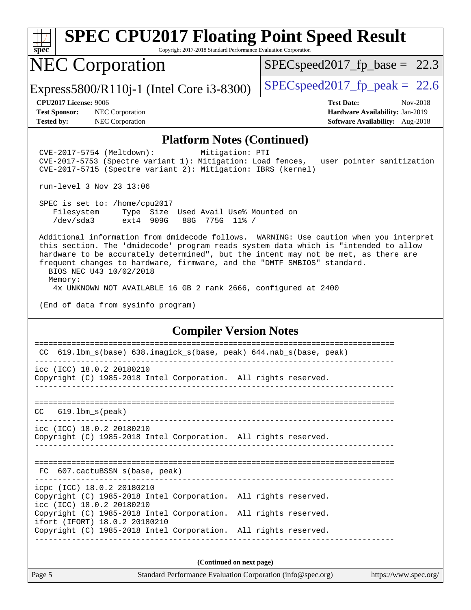

# **[SPEC CPU2017 Floating Point Speed Result](http://www.spec.org/auto/cpu2017/Docs/result-fields.html#SPECCPU2017FloatingPointSpeedResult)**

Copyright 2017-2018 Standard Performance Evaluation Corporation

### NEC Corporation

 $SPECspeed2017_fp\_base = 22.3$ 

Express5800/R110j-1 (Intel Core i3-8300)  $\vert$  [SPECspeed2017\\_fp\\_peak =](http://www.spec.org/auto/cpu2017/Docs/result-fields.html#SPECspeed2017fppeak) 22.6

**[Test Sponsor:](http://www.spec.org/auto/cpu2017/Docs/result-fields.html#TestSponsor)** NEC Corporation **[Hardware Availability:](http://www.spec.org/auto/cpu2017/Docs/result-fields.html#HardwareAvailability)** Jan-2019 **[Tested by:](http://www.spec.org/auto/cpu2017/Docs/result-fields.html#Testedby)** NEC Corporation **[Software Availability:](http://www.spec.org/auto/cpu2017/Docs/result-fields.html#SoftwareAvailability)** Aug-2018

**[CPU2017 License:](http://www.spec.org/auto/cpu2017/Docs/result-fields.html#CPU2017License)** 9006 **[Test Date:](http://www.spec.org/auto/cpu2017/Docs/result-fields.html#TestDate)** Nov-2018

#### **[Platform Notes \(Continued\)](http://www.spec.org/auto/cpu2017/Docs/result-fields.html#PlatformNotes)**

 CVE-2017-5754 (Meltdown): Mitigation: PTI CVE-2017-5753 (Spectre variant 1): Mitigation: Load fences, \_\_user pointer sanitization CVE-2017-5715 (Spectre variant 2): Mitigation: IBRS (kernel)

run-level 3 Nov 23 13:06

 SPEC is set to: /home/cpu2017 Filesystem Type Size Used Avail Use% Mounted on /dev/sda3 ext4 909G 88G 775G 11% /

 Additional information from dmidecode follows. WARNING: Use caution when you interpret this section. The 'dmidecode' program reads system data which is "intended to allow hardware to be accurately determined", but the intent may not be met, as there are frequent changes to hardware, firmware, and the "DMTF SMBIOS" standard. BIOS NEC U43 10/02/2018

 Memory: 4x UNKNOWN NOT AVAILABLE 16 GB 2 rank 2666, configured at 2400

(End of data from sysinfo program)

#### **[Compiler Version Notes](http://www.spec.org/auto/cpu2017/Docs/result-fields.html#CompilerVersionNotes)**

| CC 619.1bm_s(base) 638.imagick_s(base, peak) 644.nab_s(base, peak)                                                                   |  |  |  |  |  |  |  |
|--------------------------------------------------------------------------------------------------------------------------------------|--|--|--|--|--|--|--|
|                                                                                                                                      |  |  |  |  |  |  |  |
| icc (ICC) 18.0.2 20180210<br>Copyright (C) 1985-2018 Intel Corporation. All rights reserved.                                         |  |  |  |  |  |  |  |
| $CC$ 619.1bm $s$ (peak)                                                                                                              |  |  |  |  |  |  |  |
| icc (ICC) 18.0.2 20180210<br>Copyright (C) 1985-2018 Intel Corporation. All rights reserved.                                         |  |  |  |  |  |  |  |
| FC 607.cactuBSSN s(base, peak)                                                                                                       |  |  |  |  |  |  |  |
| icpc (ICC) 18.0.2 20180210<br>Copyright (C) 1985-2018 Intel Corporation. All rights reserved.<br>icc (ICC) 18.0.2 20180210           |  |  |  |  |  |  |  |
| Copyright (C) 1985-2018 Intel Corporation. All rights reserved.<br>ifort (IFORT) 18.0.2 20180210                                     |  |  |  |  |  |  |  |
| Copyright (C) 1985-2018 Intel Corporation. All rights reserved.                                                                      |  |  |  |  |  |  |  |
| (Continued on next page)                                                                                                             |  |  |  |  |  |  |  |
| $\alpha$ in $\alpha$ is $\alpha$ is $\alpha$ is $\alpha$ is $\alpha$ is $\alpha$ is $\alpha$ is the set of $\alpha$<br>$\sim$ $\sim$ |  |  |  |  |  |  |  |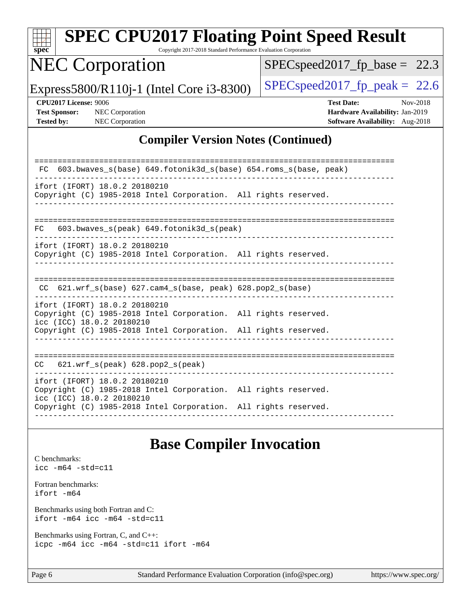|                                                                                                                               | <b>SPEC CPU2017 Floating Point Speed Result</b>                                                     |                                                                                                     |  |  |  |  |  |
|-------------------------------------------------------------------------------------------------------------------------------|-----------------------------------------------------------------------------------------------------|-----------------------------------------------------------------------------------------------------|--|--|--|--|--|
| $SDec^*$<br><b>NEC Corporation</b>                                                                                            | Copyright 2017-2018 Standard Performance Evaluation Corporation<br>$SPEC speed2017_fp\_base = 22.3$ |                                                                                                     |  |  |  |  |  |
| Express5800/R110j-1 (Intel Core i3-8300)                                                                                      | $SPEC speed2017_fp\_peak = 22.6$                                                                    |                                                                                                     |  |  |  |  |  |
| <b>CPU2017 License: 9006</b><br><b>Test Sponsor:</b><br><b>Tested by:</b>                                                     | <b>NEC Corporation</b><br><b>NEC Corporation</b>                                                    | <b>Test Date:</b><br>Nov-2018<br>Hardware Availability: Jan-2019<br>Software Availability: Aug-2018 |  |  |  |  |  |
|                                                                                                                               |                                                                                                     | <b>Compiler Version Notes (Continued)</b>                                                           |  |  |  |  |  |
|                                                                                                                               | 603.bwaves_s(base) 649.fotonik3d_s(base) 654.roms_s(base, peak)                                     |                                                                                                     |  |  |  |  |  |
| ifort (IFORT) 18.0.2 20180210<br>Copyright (C) 1985-2018 Intel Corporation. All rights reserved.                              |                                                                                                     |                                                                                                     |  |  |  |  |  |
| FC.                                                                                                                           | 603.bwaves_s(peak) 649.fotonik3d_s(peak)                                                            |                                                                                                     |  |  |  |  |  |
| ifort (IFORT) 18.0.2 20180210<br>Copyright (C) 1985-2018 Intel Corporation. All rights reserved.                              |                                                                                                     |                                                                                                     |  |  |  |  |  |
|                                                                                                                               | CC 621.wrf_s(base) 627.cam4_s(base, peak) 628.pop2_s(base)                                          |                                                                                                     |  |  |  |  |  |
| ifort (IFORT) 18.0.2 20180210<br>Copyright (C) 1985-2018 Intel Corporation. All rights reserved.<br>icc (ICC) 18.0.2 20180210 |                                                                                                     |                                                                                                     |  |  |  |  |  |
| Copyright (C) 1985-2018 Intel Corporation. All rights reserved.                                                               |                                                                                                     |                                                                                                     |  |  |  |  |  |
| CC                                                                                                                            | 621.wrf_s(peak) 628.pop2_s(peak)                                                                    |                                                                                                     |  |  |  |  |  |
| ifort (IFORT) 18.0.2 20180210<br>Copyright (C) 1985-2018 Intel Corporation. All rights reserved.<br>icc (ICC) 18.0.2 20180210 |                                                                                                     |                                                                                                     |  |  |  |  |  |
| Copyright (C) 1985-2018 Intel Corporation. All rights reserved.                                                               |                                                                                                     |                                                                                                     |  |  |  |  |  |

## **[Base Compiler Invocation](http://www.spec.org/auto/cpu2017/Docs/result-fields.html#BaseCompilerInvocation)**

[C benchmarks](http://www.spec.org/auto/cpu2017/Docs/result-fields.html#Cbenchmarks): [icc -m64 -std=c11](http://www.spec.org/cpu2017/results/res2018q4/cpu2017-20181210-10084.flags.html#user_CCbase_intel_icc_64bit_c11_33ee0cdaae7deeeab2a9725423ba97205ce30f63b9926c2519791662299b76a0318f32ddfffdc46587804de3178b4f9328c46fa7c2b0cd779d7a61945c91cd35) [Fortran benchmarks](http://www.spec.org/auto/cpu2017/Docs/result-fields.html#Fortranbenchmarks): [ifort -m64](http://www.spec.org/cpu2017/results/res2018q4/cpu2017-20181210-10084.flags.html#user_FCbase_intel_ifort_64bit_24f2bb282fbaeffd6157abe4f878425411749daecae9a33200eee2bee2fe76f3b89351d69a8130dd5949958ce389cf37ff59a95e7a40d588e8d3a57e0c3fd751) [Benchmarks using both Fortran and C](http://www.spec.org/auto/cpu2017/Docs/result-fields.html#BenchmarksusingbothFortranandC): [ifort -m64](http://www.spec.org/cpu2017/results/res2018q4/cpu2017-20181210-10084.flags.html#user_CC_FCbase_intel_ifort_64bit_24f2bb282fbaeffd6157abe4f878425411749daecae9a33200eee2bee2fe76f3b89351d69a8130dd5949958ce389cf37ff59a95e7a40d588e8d3a57e0c3fd751) [icc -m64 -std=c11](http://www.spec.org/cpu2017/results/res2018q4/cpu2017-20181210-10084.flags.html#user_CC_FCbase_intel_icc_64bit_c11_33ee0cdaae7deeeab2a9725423ba97205ce30f63b9926c2519791662299b76a0318f32ddfffdc46587804de3178b4f9328c46fa7c2b0cd779d7a61945c91cd35) [Benchmarks using Fortran, C, and C++:](http://www.spec.org/auto/cpu2017/Docs/result-fields.html#BenchmarksusingFortranCandCXX) [icpc -m64](http://www.spec.org/cpu2017/results/res2018q4/cpu2017-20181210-10084.flags.html#user_CC_CXX_FCbase_intel_icpc_64bit_4ecb2543ae3f1412ef961e0650ca070fec7b7afdcd6ed48761b84423119d1bf6bdf5cad15b44d48e7256388bc77273b966e5eb805aefd121eb22e9299b2ec9d9) [icc -m64 -std=c11](http://www.spec.org/cpu2017/results/res2018q4/cpu2017-20181210-10084.flags.html#user_CC_CXX_FCbase_intel_icc_64bit_c11_33ee0cdaae7deeeab2a9725423ba97205ce30f63b9926c2519791662299b76a0318f32ddfffdc46587804de3178b4f9328c46fa7c2b0cd779d7a61945c91cd35) [ifort -m64](http://www.spec.org/cpu2017/results/res2018q4/cpu2017-20181210-10084.flags.html#user_CC_CXX_FCbase_intel_ifort_64bit_24f2bb282fbaeffd6157abe4f878425411749daecae9a33200eee2bee2fe76f3b89351d69a8130dd5949958ce389cf37ff59a95e7a40d588e8d3a57e0c3fd751)

Page 6 Standard Performance Evaluation Corporation [\(info@spec.org\)](mailto:info@spec.org) <https://www.spec.org/>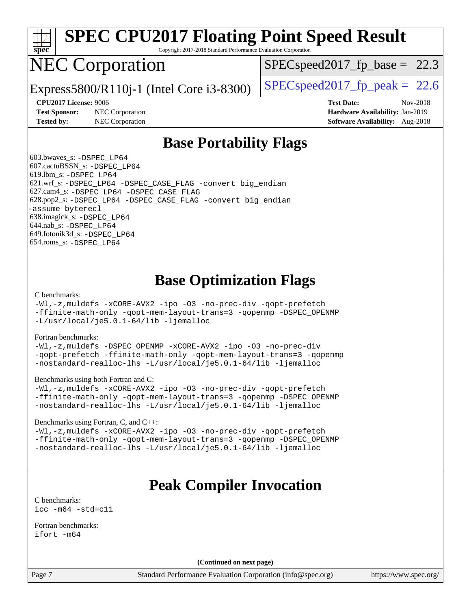

# **[SPEC CPU2017 Floating Point Speed Result](http://www.spec.org/auto/cpu2017/Docs/result-fields.html#SPECCPU2017FloatingPointSpeedResult)**

Copyright 2017-2018 Standard Performance Evaluation Corporation

## NEC Corporation

 $SPECspeed2017<sub>fp</sub> base = 22.3$ 

Express5800/R110j-1 (Intel Core i3-8300) [SPECspeed2017\\_fp\\_peak =](http://www.spec.org/auto/cpu2017/Docs/result-fields.html#SPECspeed2017fppeak) 22.6

**[Test Sponsor:](http://www.spec.org/auto/cpu2017/Docs/result-fields.html#TestSponsor)** NEC Corporation **[Hardware Availability:](http://www.spec.org/auto/cpu2017/Docs/result-fields.html#HardwareAvailability)** Jan-2019 **[Tested by:](http://www.spec.org/auto/cpu2017/Docs/result-fields.html#Testedby)** NEC Corporation **[Software Availability:](http://www.spec.org/auto/cpu2017/Docs/result-fields.html#SoftwareAvailability)** Aug-2018

**[CPU2017 License:](http://www.spec.org/auto/cpu2017/Docs/result-fields.html#CPU2017License)** 9006 **[Test Date:](http://www.spec.org/auto/cpu2017/Docs/result-fields.html#TestDate)** Nov-2018

### **[Base Portability Flags](http://www.spec.org/auto/cpu2017/Docs/result-fields.html#BasePortabilityFlags)**

 603.bwaves\_s: [-DSPEC\\_LP64](http://www.spec.org/cpu2017/results/res2018q4/cpu2017-20181210-10084.flags.html#suite_basePORTABILITY603_bwaves_s_DSPEC_LP64) 607.cactuBSSN\_s: [-DSPEC\\_LP64](http://www.spec.org/cpu2017/results/res2018q4/cpu2017-20181210-10084.flags.html#suite_basePORTABILITY607_cactuBSSN_s_DSPEC_LP64) 619.lbm\_s: [-DSPEC\\_LP64](http://www.spec.org/cpu2017/results/res2018q4/cpu2017-20181210-10084.flags.html#suite_basePORTABILITY619_lbm_s_DSPEC_LP64) 621.wrf\_s: [-DSPEC\\_LP64](http://www.spec.org/cpu2017/results/res2018q4/cpu2017-20181210-10084.flags.html#suite_basePORTABILITY621_wrf_s_DSPEC_LP64) [-DSPEC\\_CASE\\_FLAG](http://www.spec.org/cpu2017/results/res2018q4/cpu2017-20181210-10084.flags.html#b621.wrf_s_baseCPORTABILITY_DSPEC_CASE_FLAG) [-convert big\\_endian](http://www.spec.org/cpu2017/results/res2018q4/cpu2017-20181210-10084.flags.html#user_baseFPORTABILITY621_wrf_s_convert_big_endian_c3194028bc08c63ac5d04de18c48ce6d347e4e562e8892b8bdbdc0214820426deb8554edfa529a3fb25a586e65a3d812c835984020483e7e73212c4d31a38223) 627.cam4\_s: [-DSPEC\\_LP64](http://www.spec.org/cpu2017/results/res2018q4/cpu2017-20181210-10084.flags.html#suite_basePORTABILITY627_cam4_s_DSPEC_LP64) [-DSPEC\\_CASE\\_FLAG](http://www.spec.org/cpu2017/results/res2018q4/cpu2017-20181210-10084.flags.html#b627.cam4_s_baseCPORTABILITY_DSPEC_CASE_FLAG) 628.pop2\_s: [-DSPEC\\_LP64](http://www.spec.org/cpu2017/results/res2018q4/cpu2017-20181210-10084.flags.html#suite_basePORTABILITY628_pop2_s_DSPEC_LP64) [-DSPEC\\_CASE\\_FLAG](http://www.spec.org/cpu2017/results/res2018q4/cpu2017-20181210-10084.flags.html#b628.pop2_s_baseCPORTABILITY_DSPEC_CASE_FLAG) [-convert big\\_endian](http://www.spec.org/cpu2017/results/res2018q4/cpu2017-20181210-10084.flags.html#user_baseFPORTABILITY628_pop2_s_convert_big_endian_c3194028bc08c63ac5d04de18c48ce6d347e4e562e8892b8bdbdc0214820426deb8554edfa529a3fb25a586e65a3d812c835984020483e7e73212c4d31a38223) [-assume byterecl](http://www.spec.org/cpu2017/results/res2018q4/cpu2017-20181210-10084.flags.html#user_baseFPORTABILITY628_pop2_s_assume_byterecl_7e47d18b9513cf18525430bbf0f2177aa9bf368bc7a059c09b2c06a34b53bd3447c950d3f8d6c70e3faf3a05c8557d66a5798b567902e8849adc142926523472) 638.imagick\_s: [-DSPEC\\_LP64](http://www.spec.org/cpu2017/results/res2018q4/cpu2017-20181210-10084.flags.html#suite_basePORTABILITY638_imagick_s_DSPEC_LP64) 644.nab\_s: [-DSPEC\\_LP64](http://www.spec.org/cpu2017/results/res2018q4/cpu2017-20181210-10084.flags.html#suite_basePORTABILITY644_nab_s_DSPEC_LP64) 649.fotonik3d\_s: [-DSPEC\\_LP64](http://www.spec.org/cpu2017/results/res2018q4/cpu2017-20181210-10084.flags.html#suite_basePORTABILITY649_fotonik3d_s_DSPEC_LP64) 654.roms\_s: [-DSPEC\\_LP64](http://www.spec.org/cpu2017/results/res2018q4/cpu2017-20181210-10084.flags.html#suite_basePORTABILITY654_roms_s_DSPEC_LP64)

### **[Base Optimization Flags](http://www.spec.org/auto/cpu2017/Docs/result-fields.html#BaseOptimizationFlags)**

#### [C benchmarks](http://www.spec.org/auto/cpu2017/Docs/result-fields.html#Cbenchmarks):

[-Wl,-z,muldefs](http://www.spec.org/cpu2017/results/res2018q4/cpu2017-20181210-10084.flags.html#user_CCbase_link_force_multiple1_b4cbdb97b34bdee9ceefcfe54f4c8ea74255f0b02a4b23e853cdb0e18eb4525ac79b5a88067c842dd0ee6996c24547a27a4b99331201badda8798ef8a743f577) [-xCORE-AVX2](http://www.spec.org/cpu2017/results/res2018q4/cpu2017-20181210-10084.flags.html#user_CCbase_f-xCORE-AVX2) [-ipo](http://www.spec.org/cpu2017/results/res2018q4/cpu2017-20181210-10084.flags.html#user_CCbase_f-ipo) [-O3](http://www.spec.org/cpu2017/results/res2018q4/cpu2017-20181210-10084.flags.html#user_CCbase_f-O3) [-no-prec-div](http://www.spec.org/cpu2017/results/res2018q4/cpu2017-20181210-10084.flags.html#user_CCbase_f-no-prec-div) [-qopt-prefetch](http://www.spec.org/cpu2017/results/res2018q4/cpu2017-20181210-10084.flags.html#user_CCbase_f-qopt-prefetch) [-ffinite-math-only](http://www.spec.org/cpu2017/results/res2018q4/cpu2017-20181210-10084.flags.html#user_CCbase_f_finite_math_only_cb91587bd2077682c4b38af759c288ed7c732db004271a9512da14a4f8007909a5f1427ecbf1a0fb78ff2a814402c6114ac565ca162485bbcae155b5e4258871) [-qopt-mem-layout-trans=3](http://www.spec.org/cpu2017/results/res2018q4/cpu2017-20181210-10084.flags.html#user_CCbase_f-qopt-mem-layout-trans_de80db37974c74b1f0e20d883f0b675c88c3b01e9d123adea9b28688d64333345fb62bc4a798493513fdb68f60282f9a726aa07f478b2f7113531aecce732043) [-qopenmp](http://www.spec.org/cpu2017/results/res2018q4/cpu2017-20181210-10084.flags.html#user_CCbase_qopenmp_16be0c44f24f464004c6784a7acb94aca937f053568ce72f94b139a11c7c168634a55f6653758ddd83bcf7b8463e8028bb0b48b77bcddc6b78d5d95bb1df2967) [-DSPEC\\_OPENMP](http://www.spec.org/cpu2017/results/res2018q4/cpu2017-20181210-10084.flags.html#suite_CCbase_DSPEC_OPENMP) [-L/usr/local/je5.0.1-64/lib](http://www.spec.org/cpu2017/results/res2018q4/cpu2017-20181210-10084.flags.html#user_CCbase_jemalloc_link_path64_4b10a636b7bce113509b17f3bd0d6226c5fb2346b9178c2d0232c14f04ab830f976640479e5c33dc2bcbbdad86ecfb6634cbbd4418746f06f368b512fced5394) [-ljemalloc](http://www.spec.org/cpu2017/results/res2018q4/cpu2017-20181210-10084.flags.html#user_CCbase_jemalloc_link_lib_d1249b907c500fa1c0672f44f562e3d0f79738ae9e3c4a9c376d49f265a04b9c99b167ecedbf6711b3085be911c67ff61f150a17b3472be731631ba4d0471706)

#### [Fortran benchmarks](http://www.spec.org/auto/cpu2017/Docs/result-fields.html#Fortranbenchmarks):

[-Wl,-z,muldefs](http://www.spec.org/cpu2017/results/res2018q4/cpu2017-20181210-10084.flags.html#user_FCbase_link_force_multiple1_b4cbdb97b34bdee9ceefcfe54f4c8ea74255f0b02a4b23e853cdb0e18eb4525ac79b5a88067c842dd0ee6996c24547a27a4b99331201badda8798ef8a743f577) [-DSPEC\\_OPENMP](http://www.spec.org/cpu2017/results/res2018q4/cpu2017-20181210-10084.flags.html#suite_FCbase_DSPEC_OPENMP) [-xCORE-AVX2](http://www.spec.org/cpu2017/results/res2018q4/cpu2017-20181210-10084.flags.html#user_FCbase_f-xCORE-AVX2) [-ipo](http://www.spec.org/cpu2017/results/res2018q4/cpu2017-20181210-10084.flags.html#user_FCbase_f-ipo) [-O3](http://www.spec.org/cpu2017/results/res2018q4/cpu2017-20181210-10084.flags.html#user_FCbase_f-O3) [-no-prec-div](http://www.spec.org/cpu2017/results/res2018q4/cpu2017-20181210-10084.flags.html#user_FCbase_f-no-prec-div) [-qopt-prefetch](http://www.spec.org/cpu2017/results/res2018q4/cpu2017-20181210-10084.flags.html#user_FCbase_f-qopt-prefetch) [-ffinite-math-only](http://www.spec.org/cpu2017/results/res2018q4/cpu2017-20181210-10084.flags.html#user_FCbase_f_finite_math_only_cb91587bd2077682c4b38af759c288ed7c732db004271a9512da14a4f8007909a5f1427ecbf1a0fb78ff2a814402c6114ac565ca162485bbcae155b5e4258871) [-qopt-mem-layout-trans=3](http://www.spec.org/cpu2017/results/res2018q4/cpu2017-20181210-10084.flags.html#user_FCbase_f-qopt-mem-layout-trans_de80db37974c74b1f0e20d883f0b675c88c3b01e9d123adea9b28688d64333345fb62bc4a798493513fdb68f60282f9a726aa07f478b2f7113531aecce732043) [-qopenmp](http://www.spec.org/cpu2017/results/res2018q4/cpu2017-20181210-10084.flags.html#user_FCbase_qopenmp_16be0c44f24f464004c6784a7acb94aca937f053568ce72f94b139a11c7c168634a55f6653758ddd83bcf7b8463e8028bb0b48b77bcddc6b78d5d95bb1df2967) [-nostandard-realloc-lhs](http://www.spec.org/cpu2017/results/res2018q4/cpu2017-20181210-10084.flags.html#user_FCbase_f_2003_std_realloc_82b4557e90729c0f113870c07e44d33d6f5a304b4f63d4c15d2d0f1fab99f5daaed73bdb9275d9ae411527f28b936061aa8b9c8f2d63842963b95c9dd6426b8a) [-L/usr/local/je5.0.1-64/lib](http://www.spec.org/cpu2017/results/res2018q4/cpu2017-20181210-10084.flags.html#user_FCbase_jemalloc_link_path64_4b10a636b7bce113509b17f3bd0d6226c5fb2346b9178c2d0232c14f04ab830f976640479e5c33dc2bcbbdad86ecfb6634cbbd4418746f06f368b512fced5394) [-ljemalloc](http://www.spec.org/cpu2017/results/res2018q4/cpu2017-20181210-10084.flags.html#user_FCbase_jemalloc_link_lib_d1249b907c500fa1c0672f44f562e3d0f79738ae9e3c4a9c376d49f265a04b9c99b167ecedbf6711b3085be911c67ff61f150a17b3472be731631ba4d0471706)

#### [Benchmarks using both Fortran and C](http://www.spec.org/auto/cpu2017/Docs/result-fields.html#BenchmarksusingbothFortranandC):

[-Wl,-z,muldefs](http://www.spec.org/cpu2017/results/res2018q4/cpu2017-20181210-10084.flags.html#user_CC_FCbase_link_force_multiple1_b4cbdb97b34bdee9ceefcfe54f4c8ea74255f0b02a4b23e853cdb0e18eb4525ac79b5a88067c842dd0ee6996c24547a27a4b99331201badda8798ef8a743f577) [-xCORE-AVX2](http://www.spec.org/cpu2017/results/res2018q4/cpu2017-20181210-10084.flags.html#user_CC_FCbase_f-xCORE-AVX2) [-ipo](http://www.spec.org/cpu2017/results/res2018q4/cpu2017-20181210-10084.flags.html#user_CC_FCbase_f-ipo) [-O3](http://www.spec.org/cpu2017/results/res2018q4/cpu2017-20181210-10084.flags.html#user_CC_FCbase_f-O3) [-no-prec-div](http://www.spec.org/cpu2017/results/res2018q4/cpu2017-20181210-10084.flags.html#user_CC_FCbase_f-no-prec-div) [-qopt-prefetch](http://www.spec.org/cpu2017/results/res2018q4/cpu2017-20181210-10084.flags.html#user_CC_FCbase_f-qopt-prefetch) [-ffinite-math-only](http://www.spec.org/cpu2017/results/res2018q4/cpu2017-20181210-10084.flags.html#user_CC_FCbase_f_finite_math_only_cb91587bd2077682c4b38af759c288ed7c732db004271a9512da14a4f8007909a5f1427ecbf1a0fb78ff2a814402c6114ac565ca162485bbcae155b5e4258871) [-qopt-mem-layout-trans=3](http://www.spec.org/cpu2017/results/res2018q4/cpu2017-20181210-10084.flags.html#user_CC_FCbase_f-qopt-mem-layout-trans_de80db37974c74b1f0e20d883f0b675c88c3b01e9d123adea9b28688d64333345fb62bc4a798493513fdb68f60282f9a726aa07f478b2f7113531aecce732043) [-qopenmp](http://www.spec.org/cpu2017/results/res2018q4/cpu2017-20181210-10084.flags.html#user_CC_FCbase_qopenmp_16be0c44f24f464004c6784a7acb94aca937f053568ce72f94b139a11c7c168634a55f6653758ddd83bcf7b8463e8028bb0b48b77bcddc6b78d5d95bb1df2967) [-DSPEC\\_OPENMP](http://www.spec.org/cpu2017/results/res2018q4/cpu2017-20181210-10084.flags.html#suite_CC_FCbase_DSPEC_OPENMP) [-nostandard-realloc-lhs](http://www.spec.org/cpu2017/results/res2018q4/cpu2017-20181210-10084.flags.html#user_CC_FCbase_f_2003_std_realloc_82b4557e90729c0f113870c07e44d33d6f5a304b4f63d4c15d2d0f1fab99f5daaed73bdb9275d9ae411527f28b936061aa8b9c8f2d63842963b95c9dd6426b8a) [-L/usr/local/je5.0.1-64/lib](http://www.spec.org/cpu2017/results/res2018q4/cpu2017-20181210-10084.flags.html#user_CC_FCbase_jemalloc_link_path64_4b10a636b7bce113509b17f3bd0d6226c5fb2346b9178c2d0232c14f04ab830f976640479e5c33dc2bcbbdad86ecfb6634cbbd4418746f06f368b512fced5394) [-ljemalloc](http://www.spec.org/cpu2017/results/res2018q4/cpu2017-20181210-10084.flags.html#user_CC_FCbase_jemalloc_link_lib_d1249b907c500fa1c0672f44f562e3d0f79738ae9e3c4a9c376d49f265a04b9c99b167ecedbf6711b3085be911c67ff61f150a17b3472be731631ba4d0471706)

#### [Benchmarks using Fortran, C, and C++:](http://www.spec.org/auto/cpu2017/Docs/result-fields.html#BenchmarksusingFortranCandCXX)

[-Wl,-z,muldefs](http://www.spec.org/cpu2017/results/res2018q4/cpu2017-20181210-10084.flags.html#user_CC_CXX_FCbase_link_force_multiple1_b4cbdb97b34bdee9ceefcfe54f4c8ea74255f0b02a4b23e853cdb0e18eb4525ac79b5a88067c842dd0ee6996c24547a27a4b99331201badda8798ef8a743f577) [-xCORE-AVX2](http://www.spec.org/cpu2017/results/res2018q4/cpu2017-20181210-10084.flags.html#user_CC_CXX_FCbase_f-xCORE-AVX2) [-ipo](http://www.spec.org/cpu2017/results/res2018q4/cpu2017-20181210-10084.flags.html#user_CC_CXX_FCbase_f-ipo) [-O3](http://www.spec.org/cpu2017/results/res2018q4/cpu2017-20181210-10084.flags.html#user_CC_CXX_FCbase_f-O3) [-no-prec-div](http://www.spec.org/cpu2017/results/res2018q4/cpu2017-20181210-10084.flags.html#user_CC_CXX_FCbase_f-no-prec-div) [-qopt-prefetch](http://www.spec.org/cpu2017/results/res2018q4/cpu2017-20181210-10084.flags.html#user_CC_CXX_FCbase_f-qopt-prefetch) [-ffinite-math-only](http://www.spec.org/cpu2017/results/res2018q4/cpu2017-20181210-10084.flags.html#user_CC_CXX_FCbase_f_finite_math_only_cb91587bd2077682c4b38af759c288ed7c732db004271a9512da14a4f8007909a5f1427ecbf1a0fb78ff2a814402c6114ac565ca162485bbcae155b5e4258871) [-qopt-mem-layout-trans=3](http://www.spec.org/cpu2017/results/res2018q4/cpu2017-20181210-10084.flags.html#user_CC_CXX_FCbase_f-qopt-mem-layout-trans_de80db37974c74b1f0e20d883f0b675c88c3b01e9d123adea9b28688d64333345fb62bc4a798493513fdb68f60282f9a726aa07f478b2f7113531aecce732043) [-qopenmp](http://www.spec.org/cpu2017/results/res2018q4/cpu2017-20181210-10084.flags.html#user_CC_CXX_FCbase_qopenmp_16be0c44f24f464004c6784a7acb94aca937f053568ce72f94b139a11c7c168634a55f6653758ddd83bcf7b8463e8028bb0b48b77bcddc6b78d5d95bb1df2967) [-DSPEC\\_OPENMP](http://www.spec.org/cpu2017/results/res2018q4/cpu2017-20181210-10084.flags.html#suite_CC_CXX_FCbase_DSPEC_OPENMP) [-nostandard-realloc-lhs](http://www.spec.org/cpu2017/results/res2018q4/cpu2017-20181210-10084.flags.html#user_CC_CXX_FCbase_f_2003_std_realloc_82b4557e90729c0f113870c07e44d33d6f5a304b4f63d4c15d2d0f1fab99f5daaed73bdb9275d9ae411527f28b936061aa8b9c8f2d63842963b95c9dd6426b8a) [-L/usr/local/je5.0.1-64/lib](http://www.spec.org/cpu2017/results/res2018q4/cpu2017-20181210-10084.flags.html#user_CC_CXX_FCbase_jemalloc_link_path64_4b10a636b7bce113509b17f3bd0d6226c5fb2346b9178c2d0232c14f04ab830f976640479e5c33dc2bcbbdad86ecfb6634cbbd4418746f06f368b512fced5394) [-ljemalloc](http://www.spec.org/cpu2017/results/res2018q4/cpu2017-20181210-10084.flags.html#user_CC_CXX_FCbase_jemalloc_link_lib_d1249b907c500fa1c0672f44f562e3d0f79738ae9e3c4a9c376d49f265a04b9c99b167ecedbf6711b3085be911c67ff61f150a17b3472be731631ba4d0471706)

### **[Peak Compiler Invocation](http://www.spec.org/auto/cpu2017/Docs/result-fields.html#PeakCompilerInvocation)**

[C benchmarks](http://www.spec.org/auto/cpu2017/Docs/result-fields.html#Cbenchmarks): [icc -m64 -std=c11](http://www.spec.org/cpu2017/results/res2018q4/cpu2017-20181210-10084.flags.html#user_CCpeak_intel_icc_64bit_c11_33ee0cdaae7deeeab2a9725423ba97205ce30f63b9926c2519791662299b76a0318f32ddfffdc46587804de3178b4f9328c46fa7c2b0cd779d7a61945c91cd35)

[Fortran benchmarks](http://www.spec.org/auto/cpu2017/Docs/result-fields.html#Fortranbenchmarks): [ifort -m64](http://www.spec.org/cpu2017/results/res2018q4/cpu2017-20181210-10084.flags.html#user_FCpeak_intel_ifort_64bit_24f2bb282fbaeffd6157abe4f878425411749daecae9a33200eee2bee2fe76f3b89351d69a8130dd5949958ce389cf37ff59a95e7a40d588e8d3a57e0c3fd751)

**(Continued on next page)**

Page 7 Standard Performance Evaluation Corporation [\(info@spec.org\)](mailto:info@spec.org) <https://www.spec.org/>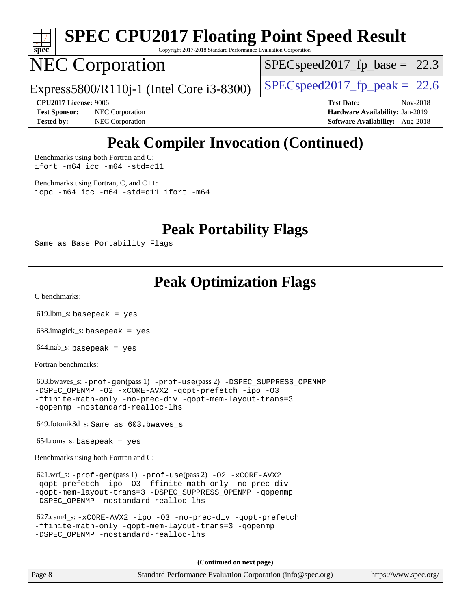

# **[SPEC CPU2017 Floating Point Speed Result](http://www.spec.org/auto/cpu2017/Docs/result-fields.html#SPECCPU2017FloatingPointSpeedResult)**

Copyright 2017-2018 Standard Performance Evaluation Corporation

## NEC Corporation

 $SPECspeed2017<sub>fp</sub> base = 22.3$ 

Express5800/R110j-1 (Intel Core i3-8300) [SPECspeed2017\\_fp\\_peak =](http://www.spec.org/auto/cpu2017/Docs/result-fields.html#SPECspeed2017fppeak) 22.6

**[Test Sponsor:](http://www.spec.org/auto/cpu2017/Docs/result-fields.html#TestSponsor)** NEC Corporation **[Hardware Availability:](http://www.spec.org/auto/cpu2017/Docs/result-fields.html#HardwareAvailability)** Jan-2019 **[Tested by:](http://www.spec.org/auto/cpu2017/Docs/result-fields.html#Testedby)** NEC Corporation **[Software Availability:](http://www.spec.org/auto/cpu2017/Docs/result-fields.html#SoftwareAvailability)** Aug-2018

**[CPU2017 License:](http://www.spec.org/auto/cpu2017/Docs/result-fields.html#CPU2017License)** 9006 **[Test Date:](http://www.spec.org/auto/cpu2017/Docs/result-fields.html#TestDate)** Nov-2018

## **[Peak Compiler Invocation \(Continued\)](http://www.spec.org/auto/cpu2017/Docs/result-fields.html#PeakCompilerInvocation)**

[Benchmarks using both Fortran and C](http://www.spec.org/auto/cpu2017/Docs/result-fields.html#BenchmarksusingbothFortranandC): [ifort -m64](http://www.spec.org/cpu2017/results/res2018q4/cpu2017-20181210-10084.flags.html#user_CC_FCpeak_intel_ifort_64bit_24f2bb282fbaeffd6157abe4f878425411749daecae9a33200eee2bee2fe76f3b89351d69a8130dd5949958ce389cf37ff59a95e7a40d588e8d3a57e0c3fd751) [icc -m64 -std=c11](http://www.spec.org/cpu2017/results/res2018q4/cpu2017-20181210-10084.flags.html#user_CC_FCpeak_intel_icc_64bit_c11_33ee0cdaae7deeeab2a9725423ba97205ce30f63b9926c2519791662299b76a0318f32ddfffdc46587804de3178b4f9328c46fa7c2b0cd779d7a61945c91cd35)

[Benchmarks using Fortran, C, and C++:](http://www.spec.org/auto/cpu2017/Docs/result-fields.html#BenchmarksusingFortranCandCXX) [icpc -m64](http://www.spec.org/cpu2017/results/res2018q4/cpu2017-20181210-10084.flags.html#user_CC_CXX_FCpeak_intel_icpc_64bit_4ecb2543ae3f1412ef961e0650ca070fec7b7afdcd6ed48761b84423119d1bf6bdf5cad15b44d48e7256388bc77273b966e5eb805aefd121eb22e9299b2ec9d9) [icc -m64 -std=c11](http://www.spec.org/cpu2017/results/res2018q4/cpu2017-20181210-10084.flags.html#user_CC_CXX_FCpeak_intel_icc_64bit_c11_33ee0cdaae7deeeab2a9725423ba97205ce30f63b9926c2519791662299b76a0318f32ddfffdc46587804de3178b4f9328c46fa7c2b0cd779d7a61945c91cd35) [ifort -m64](http://www.spec.org/cpu2017/results/res2018q4/cpu2017-20181210-10084.flags.html#user_CC_CXX_FCpeak_intel_ifort_64bit_24f2bb282fbaeffd6157abe4f878425411749daecae9a33200eee2bee2fe76f3b89351d69a8130dd5949958ce389cf37ff59a95e7a40d588e8d3a57e0c3fd751)

**[Peak Portability Flags](http://www.spec.org/auto/cpu2017/Docs/result-fields.html#PeakPortabilityFlags)**

Same as Base Portability Flags

### **[Peak Optimization Flags](http://www.spec.org/auto/cpu2017/Docs/result-fields.html#PeakOptimizationFlags)**

[C benchmarks](http://www.spec.org/auto/cpu2017/Docs/result-fields.html#Cbenchmarks):

 $619.$ lbm\_s: basepeak = yes

638.imagick\_s: basepeak = yes

 $644.nab$ <sub>s</sub>: basepeak = yes

[Fortran benchmarks](http://www.spec.org/auto/cpu2017/Docs/result-fields.html#Fortranbenchmarks):

```
 603.bwaves_s: -prof-gen(pass 1) -prof-use(pass 2) -DSPEC_SUPPRESS_OPENMP
-DSPEC_OPENMP -O2 -xCORE-AVX2 -qopt-prefetch -ipo -O3
-ffinite-math-only -no-prec-div -qopt-mem-layout-trans=3
-qopenmp -nostandard-realloc-lhs
```
649.fotonik3d\_s: Same as 603.bwaves\_s

654.roms\_s: basepeak = yes

[Benchmarks using both Fortran and C](http://www.spec.org/auto/cpu2017/Docs/result-fields.html#BenchmarksusingbothFortranandC):

```
 621.wrf_s: -prof-gen(pass 1) -prof-use(pass 2) -O2 -xCORE-AVX2
-qopt-prefetch -ipo -O3 -ffinite-math-only -no-prec-div
-qopt-mem-layout-trans=3 -DSPEC_SUPPRESS_OPENMP -qopenmp
-DSPEC_OPENMP -nostandard-realloc-lhs
```

```
 627.cam4_s: -xCORE-AVX2 -ipo -O3 -no-prec-div -qopt-prefetch
-ffinite-math-only -qopt-mem-layout-trans=3 -qopenmp
-DSPEC_OPENMP -nostandard-realloc-lhs
```
**(Continued on next page)**